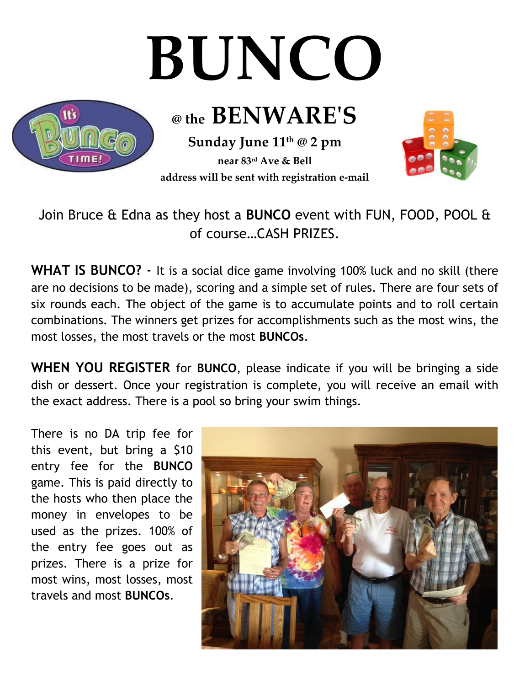## **BUNCO**



**Sunday June 11 th @ 2 pm @ the BENWARE'S**

**near 83rd Ave & Bell address will be sent with registration e-mail**



Join Bruce & Edna as they host a **BUNCO** event with FUN, FOOD, POOL & of course…CASH PRIZES.

**WHAT IS BUNCO?** - It is a social dice game involving 100% luck and no skill (there are no decisions to be made), scoring and a simple set of rules. There are four sets of six rounds each. The object of the game is to accumulate points and to roll certain combinations. The winners get prizes for accomplishments such as the most wins, the most losses, the most travels or the most **BUNCOs**.

**WHEN YOU REGISTER** for **BUNCO**, please indicate if you will be bringing a side dish or dessert. Once your registration is complete, you will receive an email with the exact address. There is a pool so bring your swim things.

There is no DA trip fee for this event, but bring a \$10 entry fee for the **BUNCO** game. This is paid directly to the hosts who then place the money in envelopes to be used as the prizes. 100% of the entry fee goes out as prizes. There is a prize for most wins, most losses, most travels and most **BUNCOs**.